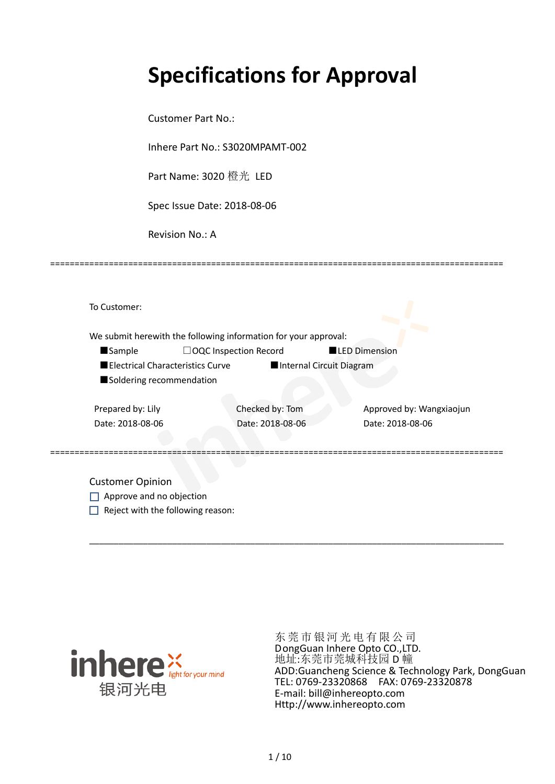# **Specifications for Approval**

Customer Part No.:

Inhere Part No.: S3020MPAMT-002

Part Name: 3020 橙光 LED

Spec Issue Date: 2018-08-06

Revision No.: A

|                          |                                         | We submit herewith the following information for your approval: |                      |                          |
|--------------------------|-----------------------------------------|-----------------------------------------------------------------|----------------------|--------------------------|
| <b>Sample</b>            | $\Box$ OQC Inspection Record            |                                                                 | <b>LED Dimension</b> |                          |
|                          | <b>Electrical Characteristics Curve</b> | Internal Circuit Diagram                                        |                      |                          |
| Soldering recommendation |                                         |                                                                 |                      |                          |
| Prepared by: Lily        |                                         | Checked by: Tom                                                 |                      | Approved by: Wangxiaojun |
| Date: 2018-08-06         |                                         | Date: 2018-08-06                                                |                      | Date: 2018-08-06         |
|                          |                                         |                                                                 |                      |                          |

\_\_\_\_\_\_\_\_\_\_\_\_\_\_\_\_\_\_\_\_\_\_\_\_\_\_\_\_\_\_\_\_\_\_\_\_\_\_\_\_\_\_\_\_\_\_\_\_\_\_\_\_\_\_\_\_\_\_\_\_\_\_\_\_\_\_\_\_\_\_\_\_\_\_\_\_\_\_\_\_\_\_\_\_\_

=============================================================================================

Approve and no objection  $\Box$  Reject with the following reason:



东莞市银河光电有限公司 DongGuan Inhere Opto CO.,LTD. 地址:东莞市莞城科技园 D 幢 ADD:Guancheng Science & Technology Park, DongGuan TEL: 0769-23320868 FAX: 0769-23320878 E-mail: bill@inhereopto.com [Http://www.inhereopto.com](http://www.inhereopto.com/)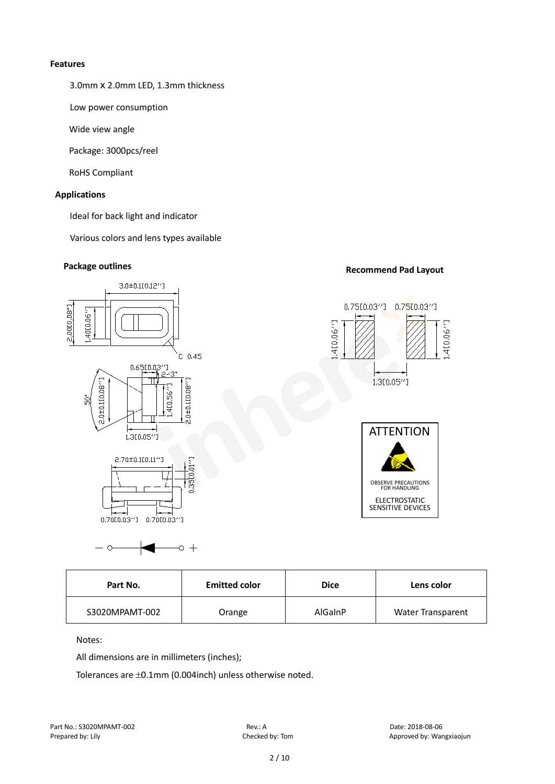#### **Features**

3.0mmⅹ2.0mm LED, 1.3mm thickness

Low power consumption

Wide view angle

Package: 3000pcs/reel

RoHS Compliant

#### **Applications**

Ideal for back light and indicator

Various colors and lens types available

## **Package outlines Recommend Pad Layout**



| Part No.       | <b>Emitted color</b> |         | Lens color               |
|----------------|----------------------|---------|--------------------------|
| S3020MPAMT-002 | Orange               | AlGaInP | <b>Water Transparent</b> |

#### Notes:

All dimensions are in millimeters (inches);

Tolerances are ±0.1mm (0.004inch) unless otherwise noted.

 $\circ$  +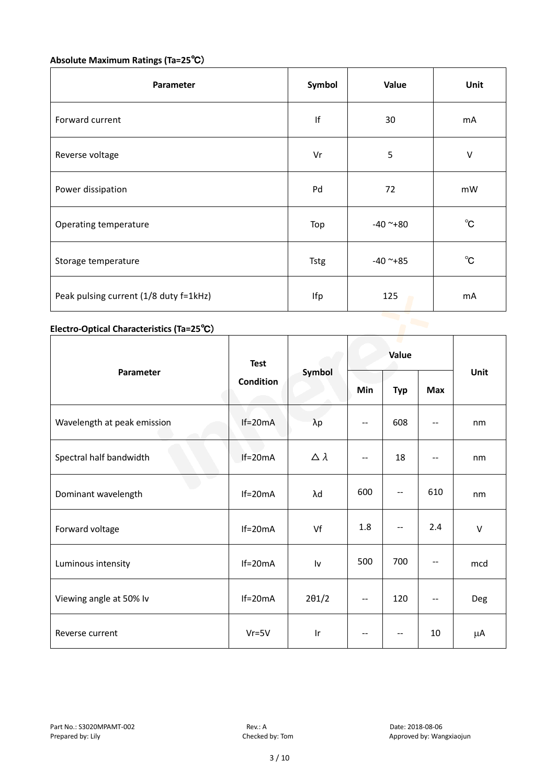# **Absolute Maximum Ratings (Ta=25**℃)

| Parameter                              | Symbol      | Value      | Unit         |
|----------------------------------------|-------------|------------|--------------|
| Forward current                        | If          | 30         | mA           |
| Reverse voltage                        | Vr          | 5          | $\vee$       |
| Power dissipation                      | Pd          | 72         | mW           |
| Operating temperature                  | Top         | $-40$ ~+80 | $^{\circ}$ C |
| Storage temperature                    | <b>Tstg</b> | $-40$ ~+85 | $^{\circ}$ C |
| Peak pulsing current (1/8 duty f=1kHz) | Ifp         | 125        | mA           |

# **Electro-Optical Characteristics (Ta=25**℃)

|                             | <b>Test</b>      |                  | Value |            |            |        |
|-----------------------------|------------------|------------------|-------|------------|------------|--------|
| Parameter                   | <b>Condition</b> | Symbol           | Min   | <b>Typ</b> | <b>Max</b> | Unit   |
| Wavelength at peak emission | $If=20mA$        | $\lambda p$      | --    | 608        |            | nm     |
| Spectral half bandwidth     | $If=20mA$        | $\Delta \lambda$ | --    | 18         | --         | nm     |
| Dominant wavelength         | $If=20mA$        | λd               | 600   | --         | 610        | nm     |
| Forward voltage             | $If=20mA$        | Vf               | 1.8   | --         | 2.4        | $\vee$ |
| Luminous intensity          | $If=20mA$        | Iv               | 500   | 700        |            | mcd    |
| Viewing angle at 50% lv     | $If=20mA$        | $2\theta$ 1/2    | $-$   | 120        | $-$        | Deg    |
| Reverse current             | $Vr = 5V$        | Ir               | --    | --         | 10         | μA     |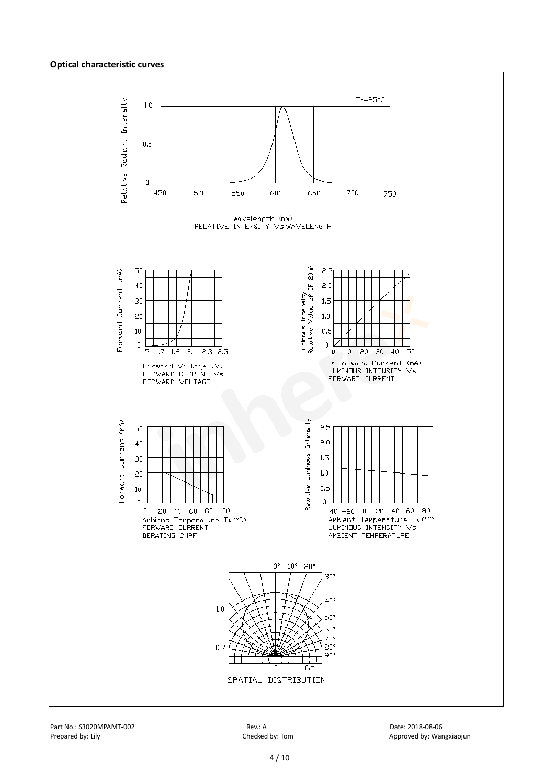#### **Optical characteristic curves**

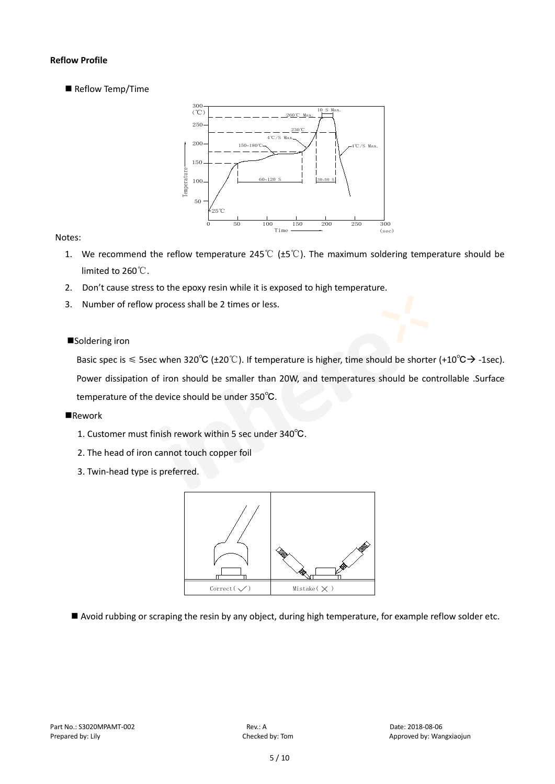#### **Reflow Profile**

Reflow Temp/Time



#### Notes:

- 1. We recommend the reflow temperature 245℃ (±5℃). The maximum soldering temperature should be limited to 260℃.
- 2. Don't cause stress to the epoxy resin while it is exposed to high temperature.
- 3. Number of reflow process shall be 2 times or less.

#### ■Soldering iron

Basic spec is  $\leq$  5sec when 320°C (±20°C). If temperature is higher, time should be shorter (+10°C $\rightarrow$ -1sec). Power dissipation of iron should be smaller than 20W, and temperatures should be controllable .Surface temperature of the device should be under 350℃.

#### **Rework**

- 1. Customer must finish rework within 5 sec under 340℃.
- 2. The head of iron cannot touch copper foil
- 3. Twin-head type is preferred.



Avoid rubbing or scraping the resin by any object, during high temperature, for example reflow solder etc.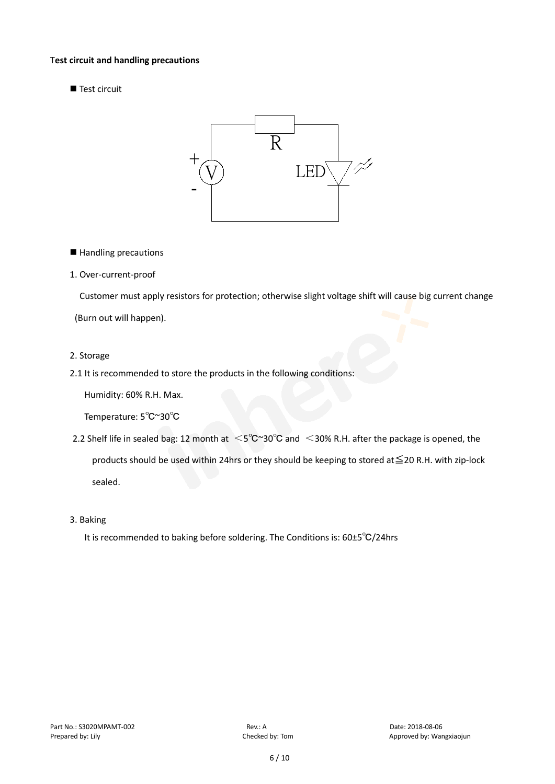#### T**est circuit and handling precautions**

Test circuit



■ Handling precautions

#### 1. Over-current-proof

Customer must apply resistors for protection; otherwise slight voltage shift will cause big current change

(Burn out will happen).

#### 2. Storage

2.1 It is recommended to store the products in the following conditions:

Humidity: 60% R.H. Max.

Temperature: 5℃~30℃

- 2.2 Shelf life in sealed bag: 12 month at <5℃~30°C and <30% R.H. after the package is opened, the products should be used within 24hrs or they should be keeping to stored at≦20 R.H. with zip-lock sealed.
- 3. Baking

It is recommended to baking before soldering. The Conditions is: 60±5℃/24hrs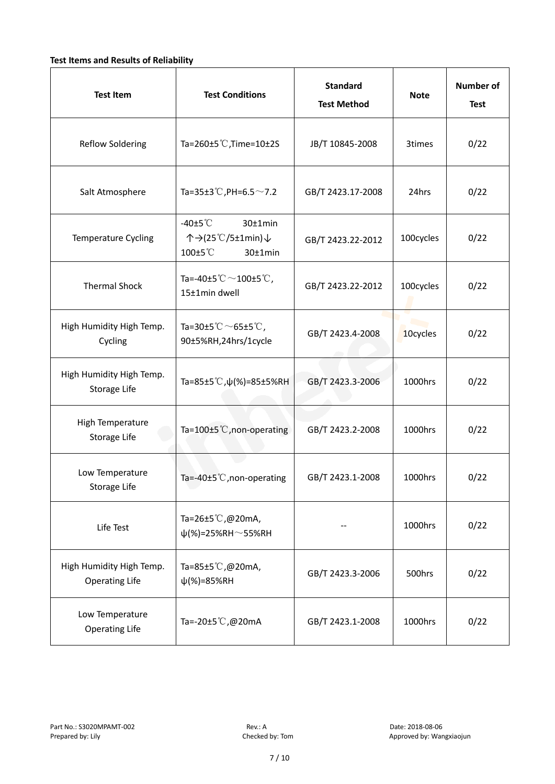### **Test Items and Results of Reliability**

| <b>Test Item</b>                                  | <b>Standard</b><br><b>Test Conditions</b><br><b>Test Method</b>                |                                | <b>Note</b> | <b>Number of</b><br><b>Test</b> |
|---------------------------------------------------|--------------------------------------------------------------------------------|--------------------------------|-------------|---------------------------------|
| <b>Reflow Soldering</b>                           | Ta=260 $\pm$ 5 °C, Time=10 $\pm$ 2S                                            | JB/T 10845-2008                | 3times      | 0/22                            |
| Salt Atmosphere                                   | Ta=35±3°C, PH=6.5 $\sim$ 7.2                                                   | GB/T 2423.17-2008              | 24hrs       | 0/22                            |
| Temperature Cycling                               | -40 $±5^{\circ}$ C<br>$30±1$ min<br>个→(25℃/5±1min)↓<br>100±5°C<br>$30±1$ min   | GB/T 2423.22-2012              |             | 0/22                            |
| <b>Thermal Shock</b>                              | Ta=-40±5 $\degree \text{C}$ $\sim$ 100±5 $\degree \text{C}$ ,<br>15±1min dwell | 100cycles<br>GB/T 2423.22-2012 |             | 0/22                            |
| High Humidity High Temp.<br>Cycling               | Ta=30±5 °C $\sim$ 65±5 °C,<br>GB/T 2423.4-2008<br>90±5%RH,24hrs/1cycle         |                                | 10cycles    | 0/22                            |
| High Humidity High Temp.<br>Storage Life          | Ta=85±5 °C, $\psi$ (%)=85±5%RH                                                 | GB/T 2423.3-2006               | 1000hrs     | 0/22                            |
| High Temperature<br><b>Storage Life</b>           | Ta=100±5°C, non-operating                                                      | GB/T 2423.2-2008               | 1000hrs     | 0/22                            |
| Low Temperature<br>Storage Life                   | Ta=-40±5℃, non-operating                                                       | GB/T 2423.1-2008               | 1000hrs     | 0/22                            |
| Life Test                                         | Ta=26±5℃,@20mA,<br>$\psi$ (%)=25%RH~55%RH                                      |                                | 1000hrs     | 0/22                            |
| High Humidity High Temp.<br><b>Operating Life</b> | Ta=85±5 $\degree$ C, @20mA,<br>$\psi$ (%)=85%RH                                | GB/T 2423.3-2006               | 500hrs      | 0/22                            |
| Low Temperature<br><b>Operating Life</b>          | Ta=-20±5℃,@20mA                                                                | GB/T 2423.1-2008               | 1000hrs     | 0/22                            |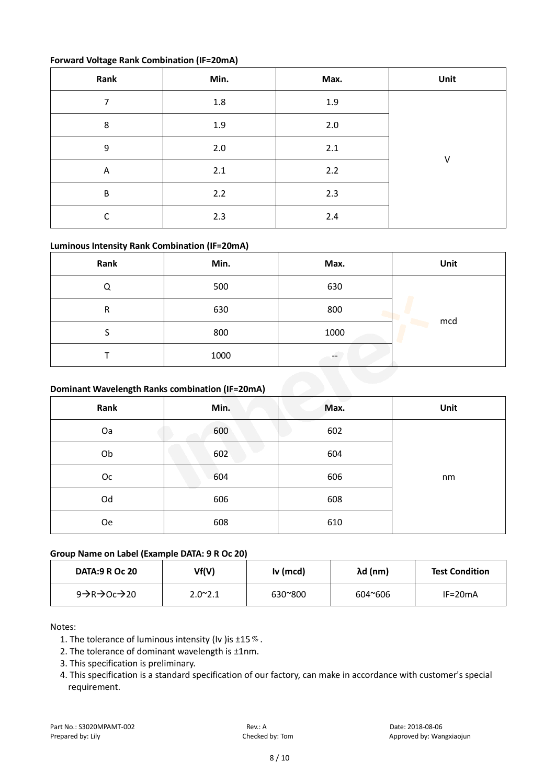#### **Forward Voltage Rank Combination (IF=20mA)**

| Rank                    | Min.    | Max. | Unit |
|-------------------------|---------|------|------|
| 7                       | $1.8\,$ | 1.9  |      |
| 8                       | 1.9     | 2.0  |      |
| 9                       | $2.0\,$ | 2.1  | V    |
| $\overline{\mathsf{A}}$ | 2.1     | 2.2  |      |
| B                       | 2.2     | 2.3  |      |
| r                       | 2.3     | 2.4  |      |

### **Luminous Intensity Rank Combination (IF=20mA)**

| Rank                                            | Min. | Max. | Unit |
|-------------------------------------------------|------|------|------|
| Q                                               | 500  | 630  |      |
| R                                               | 630  | 800  |      |
| S                                               | 800  | 1000 | mcd  |
|                                                 | 1000 |      |      |
| Dominant Wavelength Ranks combination (IF=20mA) |      |      |      |

#### **Dominant Wavelength Ranks combination (IF=20mA)**

| Rank      | Min. | Max. | Unit |
|-----------|------|------|------|
| Oa        | 600  | 602  |      |
| Ob        | 602  | 604  |      |
| Oc        | 604  | 606  | nm   |
| Od        | 606  | 608  |      |
| <b>Oe</b> | 608  | 610  |      |

#### **Group Name on Label (Example DATA: 9 R Oc 20)**

| <b>DATA:9 R Oc 20</b>                               | Vf(V)           | Iv (mcd) | λd (nm) | <b>Test Condition</b> |
|-----------------------------------------------------|-----------------|----------|---------|-----------------------|
| 9 $\rightarrow$ R $\rightarrow$ Oc $\rightarrow$ 20 | $2.0^{\sim}2.1$ | 630~800  | 604~606 | $IF=20mA$             |

#### Notes:

- 1. The tolerance of luminous intensity (Iv ) is  $\pm 15\%$ .
- 2. The tolerance of dominant wavelength is ±1nm.
- 3. This specification is preliminary.
- 4. This specification is a standard specification of our factory, can make in accordance with customer's special requirement.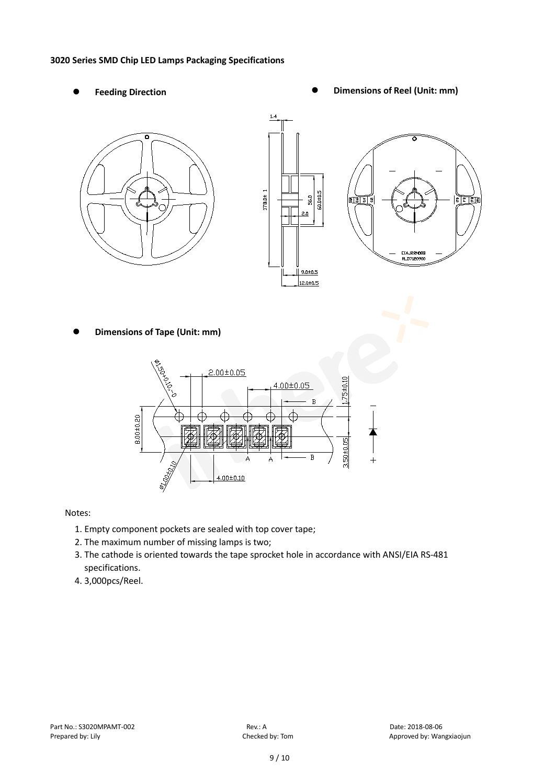#### **3020 Series SMD Chip LED Lamps Packaging Specifications**

- 
- Feeding Direction **Constanting Construction Constanting Operations Construction Constanting Construction Constanting Construction**







**Dimensions of Tape (Unit: mm)**



#### Notes:

- 1. Empty component pockets are sealed with top cover tape;
- 2. The maximum number of missing lamps is two;
- 3. The cathode is oriented towards the tape sprocket hole in accordance with ANSI/EIA RS-481 specifications.
- 4. 3,000pcs/Reel.